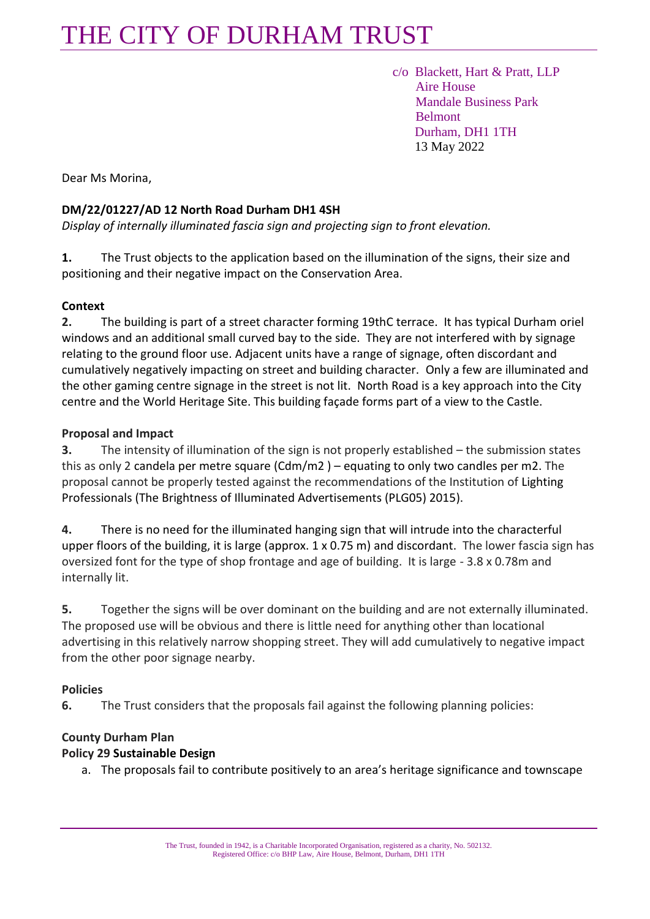## THE CITY OF DURHAM TRUST

 c/o Blackett, Hart & Pratt, LLP Aire House Mandale Business Park Belmont Durham, DH1 1TH 13 May 2022

Dear Ms Morina,

#### **DM/22/01227/AD 12 North Road Durham DH1 4SH**

*Display of internally illuminated fascia sign and projecting sign to front elevation.* 

**1.** The Trust objects to the application based on the illumination of the signs, their size and positioning and their negative impact on the Conservation Area.

#### **Context**

**2.** The building is part of a street character forming 19thC terrace. It has typical Durham oriel windows and an additional small curved bay to the side. They are not interfered with by signage relating to the ground floor use. Adjacent units have a range of signage, often discordant and cumulatively negatively impacting on street and building character. Only a few are illuminated and the other gaming centre signage in the street is not lit. North Road is a key approach into the City centre and the World Heritage Site. This building façade forms part of a view to the Castle.

#### **Proposal and Impact**

**3.** The intensity of illumination of the sign is not properly established – the submission states this as only 2 candela per metre square (Cdm/m2 ) – equating to only two candles per m2. The proposal cannot be properly tested against the recommendations of the Institution of Lighting Professionals (The Brightness of Illuminated Advertisements (PLG05) 2015).

**4.** There is no need for the illuminated hanging sign that will intrude into the characterful upper floors of the building, it is large (approx. 1 x 0.75 m) and discordant. The lower fascia sign has oversized font for the type of shop frontage and age of building. It is large - 3.8 x 0.78m and internally lit.

**5.** Together the signs will be over dominant on the building and are not externally illuminated. The proposed use will be obvious and there is little need for anything other than locational advertising in this relatively narrow shopping street. They will add cumulatively to negative impact from the other poor signage nearby.

## **Policies**

**6.** The Trust considers that the proposals fail against the following planning policies:

## **County Durham Plan**

#### **Policy 29 Sustainable Design**

a. The proposals fail to contribute positively to an area's heritage significance and townscape